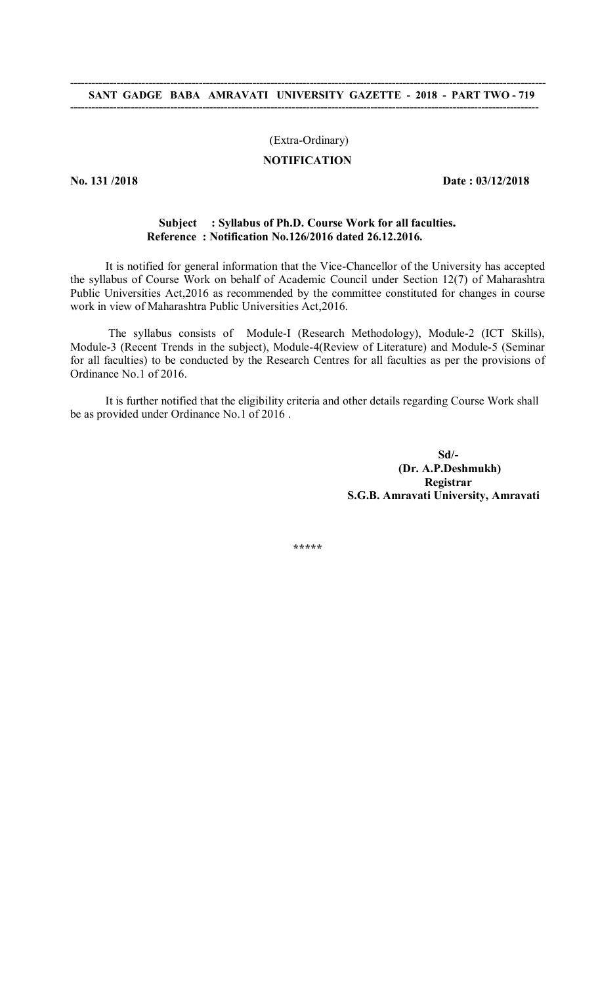## (Extra-Ordinary)

# **NOTIFICATION**

**No. 131 /2018 Date : 03/12/2018**

### **Subject : Syllabus of Ph.D. Course Work for all faculties. Reference : Notification No.126/2016 dated 26.12.2016.**

It is notified for general information that the Vice-Chancellor of the University has accepted the syllabus of Course Work on behalf of Academic Council under Section 12(7) of Maharashtra Public Universities Act,2016 as recommended by the committee constituted for changes in course work in view of Maharashtra Public Universities Act,2016.

The syllabus consists of Module-I (Research Methodology), Module-2 (ICT Skills), Module-3 (Recent Trends in the subject), Module-4(Review of Literature) and Module-5 (Seminar for all faculties) to be conducted by the Research Centres for all faculties as per the provisions of Ordinance No.1 of 2016.

It is further notified that the eligibility criteria and other details regarding Course Work shall be as provided under Ordinance No.1 of 2016 .

> **Sd/- (Dr. A.P.Deshmukh) Registrar S.G.B. Amravati University, Amravati**

**\*\*\*\*\***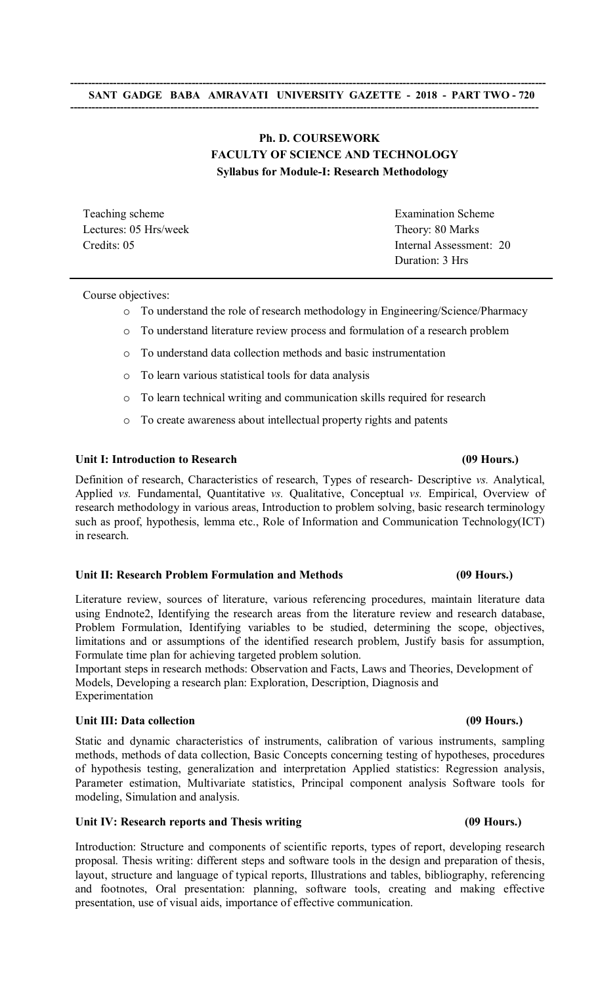# **Ph. D. COURSEWORK FACULTY OF SCIENCE AND TECHNOLOGY Syllabus for Module-I: Research Methodology**

Lectures: 05 Hrs/week Theory: 80 Marks

Teaching scheme Examination Scheme Credits: 05 Internal Assessment: 20 Duration: 3 Hrs

Course objectives:

- o To understand the role of research methodology in Engineering/Science/Pharmacy
- o To understand literature review process and formulation of a research problem
- o To understand data collection methods and basic instrumentation
- o To learn various statistical tools for data analysis
- o To learn technical writing and communication skills required for research
- o To create awareness about intellectual property rights and patents

# Unit I: Introduction to Research **(09 Hours.)**

Definition of research, Characteristics of research, Types of research- Descriptive *vs.* Analytical, Applied *vs.* Fundamental, Quantitative *vs.* Qualitative, Conceptual *vs.* Empirical, Overview of research methodology in various areas, Introduction to problem solving, basic research terminology such as proof, hypothesis, lemma etc., Role of Information and Communication Technology(ICT) in research.

# **Unit II: Research Problem Formulation and Methods (09 Hours.)**

Literature review, sources of literature, various referencing procedures, maintain literature data using Endnote2, Identifying the research areas from the literature review and research database, Problem Formulation, Identifying variables to be studied, determining the scope, objectives, limitations and or assumptions of the identified research problem, Justify basis for assumption, Formulate time plan for achieving targeted problem solution.

Important steps in research methods: Observation and Facts, Laws and Theories, Development of Models, Developing a research plan: Exploration, Description, Diagnosis and Experimentation

# Unit III: Data collection **(09 Hours.)**

Static and dynamic characteristics of instruments, calibration of various instruments, sampling methods, methods of data collection, Basic Concepts concerning testing of hypotheses, procedures of hypothesis testing, generalization and interpretation Applied statistics: Regression analysis, Parameter estimation, Multivariate statistics, Principal component analysis Software tools for modeling, Simulation and analysis.

# **Unit IV: Research reports and Thesis writing (09 Hours.)**

Introduction: Structure and components of scientific reports, types of report, developing research proposal. Thesis writing: different steps and software tools in the design and preparation of thesis, layout, structure and language of typical reports, Illustrations and tables, bibliography, referencing and footnotes, Oral presentation: planning, software tools, creating and making effective presentation, use of visual aids, importance of effective communication.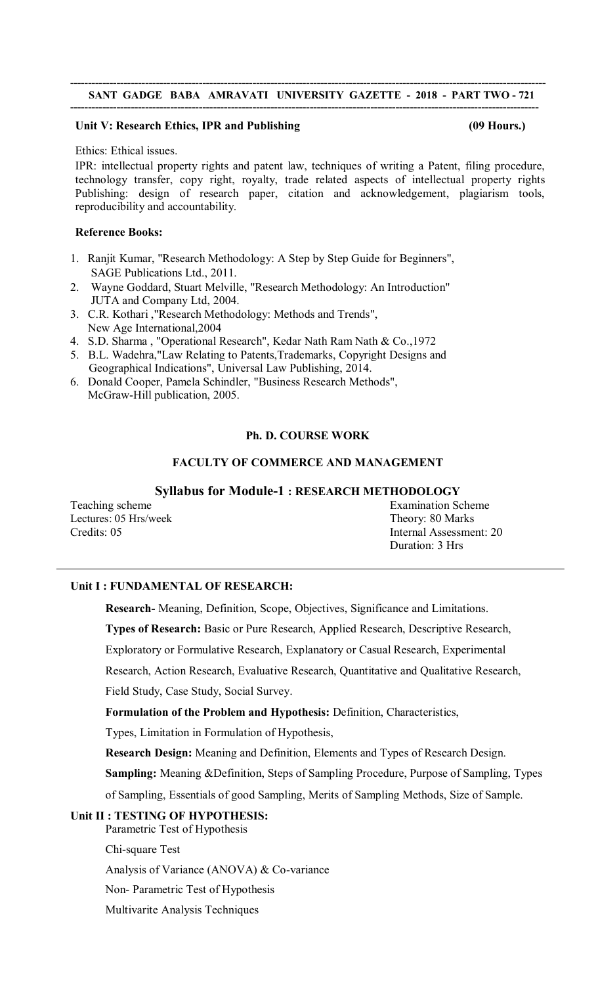**-----------------------------------------------------------------------------------------------------------------------------------**

### **Unit V: Research Ethics, IPR and Publishing (09 Hours.)**

Ethics: Ethical issues.

IPR: intellectual property rights and patent law, techniques of writing a Patent, filing procedure, technology transfer, copy right, royalty, trade related aspects of intellectual property rights Publishing: design of research paper, citation and acknowledgement, plagiarism tools, reproducibility and accountability.

### **Reference Books:**

- 1. Ranjit Kumar, "Research Methodology: A Step by Step Guide for Beginners", SAGE Publications Ltd., 2011.
- 2. Wayne Goddard, Stuart Melville, "Research Methodology: An Introduction" JUTA and Company Ltd, 2004.
- 3. C.R. Kothari ,"Research Methodology: Methods and Trends", New Age International,2004
- 4. S.D. Sharma , "Operational Research", Kedar Nath Ram Nath & Co.,1972
- 5. B.L. Wadehra,"Law Relating to Patents,Trademarks, Copyright Designs and Geographical Indications", Universal Law Publishing, 2014.
- 6. [Donald Cooper,](http://www.google.co.in/search?tbo=p&tbm=bks&q=inauthor:%22Donald+Cooper%22) Pamela Schindler, "Business Research Methods", McGraw-Hill publication, 2005.

### **Ph. D. COURSE WORK**

# **FACULTY OF COMMERCE AND MANAGEMENT**

## **Syllabus for Module-1 : RESEARCH METHODOLOGY**

Lectures: 05 Hrs/week Theory: 80 Marks

Teaching scheme Examination Scheme Examination Scheme Credits: 05 Internal Assessment: 20 Duration: 3 Hrs

## **Unit I : FUNDAMENTAL OF RESEARCH:**

**Research-** Meaning, Definition, Scope, Objectives, Significance and Limitations.

**Types of Research:** Basic or Pure Research, Applied Research, Descriptive Research,

Exploratory or Formulative Research, Explanatory or Casual Research, Experimental

Research, Action Research, Evaluative Research, Quantitative and Qualitative Research, Field Study, Case Study, Social Survey.

**Formulation of the Problem and Hypothesis:** Definition, Characteristics,

Types, Limitation in Formulation of Hypothesis,

**Research Design:** Meaning and Definition, Elements and Types of Research Design.

**Sampling:** Meaning &Definition, Steps of Sampling Procedure, Purpose of Sampling, Types

of Sampling, Essentials of good Sampling, Merits of Sampling Methods, Size of Sample.

# **Unit II : TESTING OF HYPOTHESIS:**

Parametric Test of Hypothesis

Chi-square Test

Analysis of Variance (ANOVA) & Co-variance

Non- Parametric Test of Hypothesis

Multivarite Analysis Techniques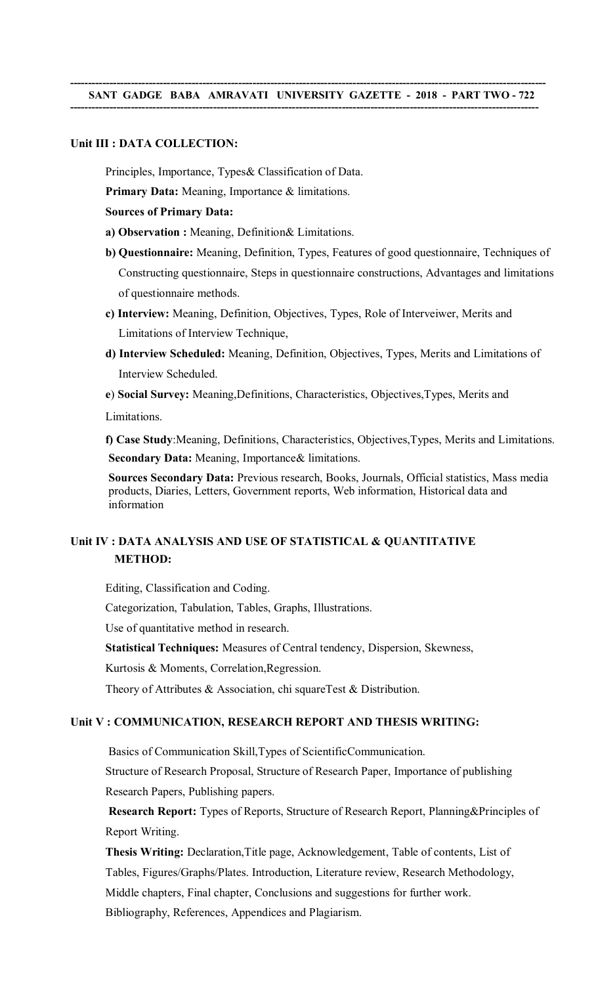## **Unit III : DATA COLLECTION:**

Principles, Importance, Types& Classification of Data.

**Primary Data:** Meaning, Importance & limitations.

### **Sources of Primary Data:**

- **a) Observation :** Meaning, Definition& Limitations.
- **b) Questionnaire:** Meaning, Definition, Types, Features of good questionnaire, Techniques of Constructing questionnaire, Steps in questionnaire constructions, Advantages and limitations of questionnaire methods.
- **c) Interview:** Meaning, Definition, Objectives, Types, Role of Interveiwer, Merits and Limitations of Interview Technique,
- **d) Interview Scheduled:** Meaning, Definition, Objectives, Types, Merits and Limitations of Interview Scheduled.
- **e**) **Social Survey:** Meaning,Definitions, Characteristics, Objectives,Types, Merits and

Limitations.

**f) Case Study**:Meaning, Definitions, Characteristics, Objectives,Types, Merits and Limitations. **Secondary Data:** Meaning, Importance& limitations.

**Sources Secondary Data:** Previous research, Books, Journals, Official statistics, Mass media products, Diaries, Letters, Government reports, Web information, Historical data and information

# **Unit IV : DATA ANALYSIS AND USE OF STATISTICAL & QUANTITATIVE METHOD:**

Editing, Classification and Coding.

Categorization, Tabulation, Tables, Graphs, Illustrations.

Use of quantitative method in research.

**Statistical Techniques:** Measures of Central tendency, Dispersion, Skewness,

Kurtosis & Moments, Correlation,Regression.

Theory of Attributes & Association, chi squareTest & Distribution.

# **Unit V : COMMUNICATION, RESEARCH REPORT AND THESIS WRITING:**

Basics of Communication Skill,Types of ScientificCommunication.

Structure of Research Proposal, Structure of Research Paper, Importance of publishing Research Papers, Publishing papers.

**Research Report:** Types of Reports, Structure of Research Report, Planning&Principles of Report Writing.

**Thesis Writing:** Declaration,Title page, Acknowledgement, Table of contents, List of Tables, Figures/Graphs/Plates. Introduction, Literature review, Research Methodology, Middle chapters, Final chapter, Conclusions and suggestions for further work. Bibliography, References, Appendices and Plagiarism.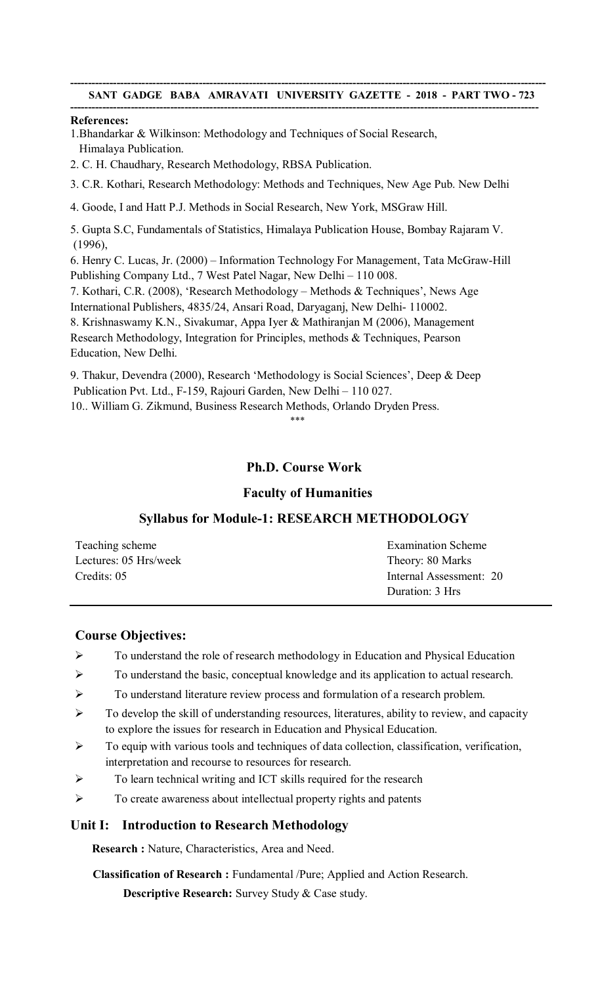### **----------------------------------------------------------------------------------------------------------------------------------- References:**

1.Bhandarkar & Wilkinson: Methodology and Techniques of Social Research, Himalaya Publication.

2. C. H. Chaudhary, Research Methodology, RBSA Publication.

3. C.R. Kothari, Research Methodology: Methods and Techniques, New Age Pub. New Delhi

4. Goode, I and Hatt P.J. Methods in Social Research, New York, MSGraw Hill.

5. Gupta S.C, Fundamentals of Statistics, Himalaya Publication House, Bombay Rajaram V. (1996),

6. Henry C. Lucas, Jr. (2000) – Information Technology For Management, Tata McGraw-Hill Publishing Company Ltd., 7 West Patel Nagar, New Delhi – 110 008.

7. Kothari, C.R. (2008), 'Research Methodology – Methods & Techniques', News Age International Publishers, 4835/24, Ansari Road, Daryaganj, New Delhi- 110002.

8. Krishnaswamy K.N., Sivakumar, Appa Iyer & Mathiranjan M (2006), Management Research Methodology, Integration for Principles, methods & Techniques, Pearson Education, New Delhi.

9. Thakur, Devendra (2000), Research 'Methodology is Social Sciences', Deep & Deep Publication Pvt. Ltd., F-159, Rajouri Garden, New Delhi – 110 027.

10.. William G. Zikmund, Business Research Methods, Orlando Dryden Press.

\*\*\*

# **Ph.D. Course Work**

# **Faculty of Humanities**

# **Syllabus for Module-1: RESEARCH METHODOLOGY**

| Teaching scheme       | <b>Examination Scheme</b> |
|-----------------------|---------------------------|
| Lectures: 05 Hrs/week | Theory: 80 Marks          |
| Credits: 05           | Internal Assessment: 20   |
|                       | Duration: 3 Hrs           |

# **Course Objectives:**

- To understand the role of research methodology in Education and Physical Education
- $\triangleright$  To understand the basic, conceptual knowledge and its application to actual research.
- To understand literature review process and formulation of a research problem.
- $\triangleright$  To develop the skill of understanding resources, literatures, ability to review, and capacity to explore the issues for research in Education and Physical Education.
- $\triangleright$  To equip with various tools and techniques of data collection, classification, verification, interpretation and recourse to resources for research.
- $\triangleright$  To learn technical writing and ICT skills required for the research
- $\triangleright$  To create awareness about intellectual property rights and patents

# **Unit I: Introduction to Research Methodology**

**Research :** Nature, Characteristics, Area and Need.

**Classification of Research :** Fundamental /Pure; Applied and Action Research.

**Descriptive Research:** Survey Study & Case study.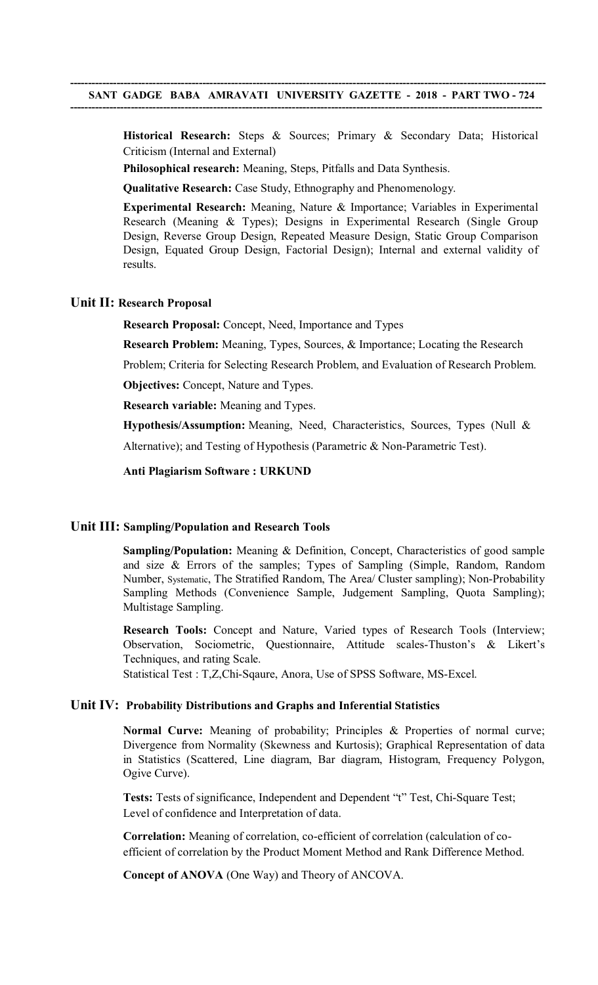**Historical Research:** Steps & Sources; Primary & Secondary Data; Historical Criticism (Internal and External)

**Philosophical research:** Meaning, Steps, Pitfalls and Data Synthesis.

**Qualitative Research:** Case Study, Ethnography and Phenomenology.

**Experimental Research:** Meaning, Nature & Importance; Variables in Experimental Research (Meaning & Types); Designs in Experimental Research (Single Group Design, Reverse Group Design, Repeated Measure Design, Static Group Comparison Design, Equated Group Design, Factorial Design); Internal and external validity of results.

# **Unit II: Research Proposal**

**Research Proposal:** Concept, Need, Importance and Types

**Research Problem:** Meaning, Types, Sources, & Importance; Locating the Research

Problem; Criteria for Selecting Research Problem, and Evaluation of Research Problem.

**Objectives:** Concept, Nature and Types.

**Research variable:** Meaning and Types.

**Hypothesis/Assumption:** Meaning, Need, Characteristics, Sources, Types (Null &

Alternative); and Testing of Hypothesis (Parametric & Non-Parametric Test).

**Anti Plagiarism Software : URKUND**

### **Unit III: Sampling/Population and Research Tools**

**Sampling/Population:** Meaning & Definition, Concept, Characteristics of good sample and size & Errors of the samples; Types of Sampling (Simple, Random, Random Number, Systematic, The Stratified Random, The Area/ Cluster sampling); Non-Probability Sampling Methods (Convenience Sample, Judgement Sampling, Quota Sampling); Multistage Sampling.

**Research Tools:** Concept and Nature, Varied types of Research Tools (Interview; Observation, Sociometric, Questionnaire, Attitude scales-Thuston's & Likert's Techniques, and rating Scale.

Statistical Test : T,Z,Chi-Sqaure, Anora, Use of SPSS Software, MS-Excel.

## **Unit IV: Probability Distributions and Graphs and Inferential Statistics**

**Normal Curve:** Meaning of probability; Principles & Properties of normal curve; Divergence from Normality (Skewness and Kurtosis); Graphical Representation of data in Statistics (Scattered, Line diagram, Bar diagram, Histogram, Frequency Polygon, Ogive Curve).

**Tests:** Tests of significance, Independent and Dependent "t" Test, Chi-Square Test; Level of confidence and Interpretation of data.

**Correlation:** Meaning of correlation, co-efficient of correlation (calculation of coefficient of correlation by the Product Moment Method and Rank Difference Method.

**Concept of ANOVA** (One Way) and Theory of ANCOVA.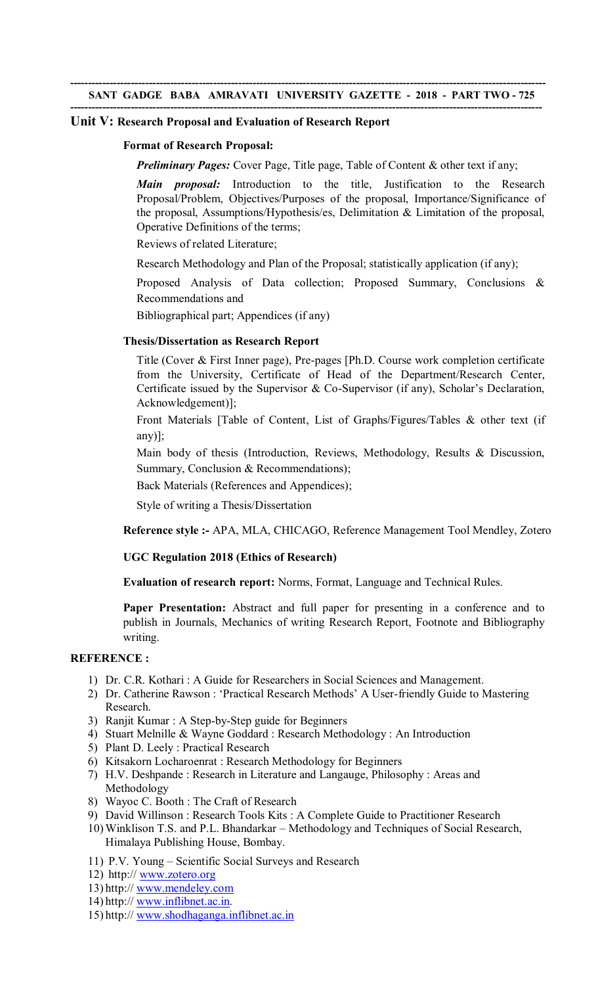### **Unit V: Research Proposal and Evaluation of Research Report**

### **Format of Research Proposal:**

*Preliminary Pages:* Cover Page, Title page, Table of Content & other text if any;

*Main proposal:* Introduction to the title, Justification to the Research Proposal/Problem, Objectives/Purposes of the proposal, Importance/Significance of the proposal, Assumptions/Hypothesis/es, Delimitation & Limitation of the proposal, Operative Definitions of the terms;

Reviews of related Literature;

Research Methodology and Plan of the Proposal; statistically application (if any);

Proposed Analysis of Data collection; Proposed Summary, Conclusions & Recommendations and

Bibliographical part; Appendices (if any)

### **Thesis/Dissertation as Research Report**

Title (Cover & First Inner page), Pre-pages [Ph.D. Course work completion certificate from the University, Certificate of Head of the Department/Research Center, Certificate issued by the Supervisor & Co-Supervisor (if any), Scholar's Declaration, Acknowledgement)];

Front Materials [Table of Content, List of Graphs/Figures/Tables & other text (if any)];

Main body of thesis (Introduction, Reviews, Methodology, Results & Discussion, Summary, Conclusion & Recommendations);

Back Materials (References and Appendices);

Style of writing a Thesis/Dissertation

**Reference style :-** APA, MLA, CHICAGO, Reference Management Tool Mendley, Zotero

### **UGC Regulation 2018 (Ethics of Research)**

**Evaluation of research report:** Norms, Format, Language and Technical Rules.

**Paper Presentation:** Abstract and full paper for presenting in a conference and to publish in Journals, Mechanics of writing Research Report, Footnote and Bibliography writing.

### **REFERENCE :**

- 1) Dr. C.R. Kothari : A Guide for Researchers in Social Sciences and Management.
- 2) Dr. Catherine Rawson : 'Practical Research Methods' A User-friendly Guide to Mastering Research.
- 3) Ranjit Kumar : A Step-by-Step guide for Beginners
- 4) Stuart Melnille & Wayne Goddard : Research Methodology : An Introduction
- 5) Plant D. Leely : Practical Research
- 6) Kitsakorn Locharoenrat : Research Methodology for Beginners
- 7) H.V. Deshpande : Research in Literature and Langauge, Philosophy : Areas and Methodology
- 8) Wayoc C. Booth : The Craft of Research
- 9) David Willinson : Research Tools Kits : A Complete Guide to Practitioner Research
- 10) Winklison T.S. and P.L. Bhandarkar Methodology and Techniques of Social Research, Himalaya Publishing House, Bombay.
- 11) P.V. Young Scientific Social Surveys and Research
- 12) http:// [www.zotero.org](http://www.zotero.org/)
- 13) http:// [www.mendeley.com](http://www.mendeley.com/)
- 14) http:// [www.inflibnet.ac.in.](http://www.inflibnet.ac.in/)
- 15) http:// [www.shodhaganga.inflibnet.ac.in](http://www.shodhaganga.inflibnet.ac.in/)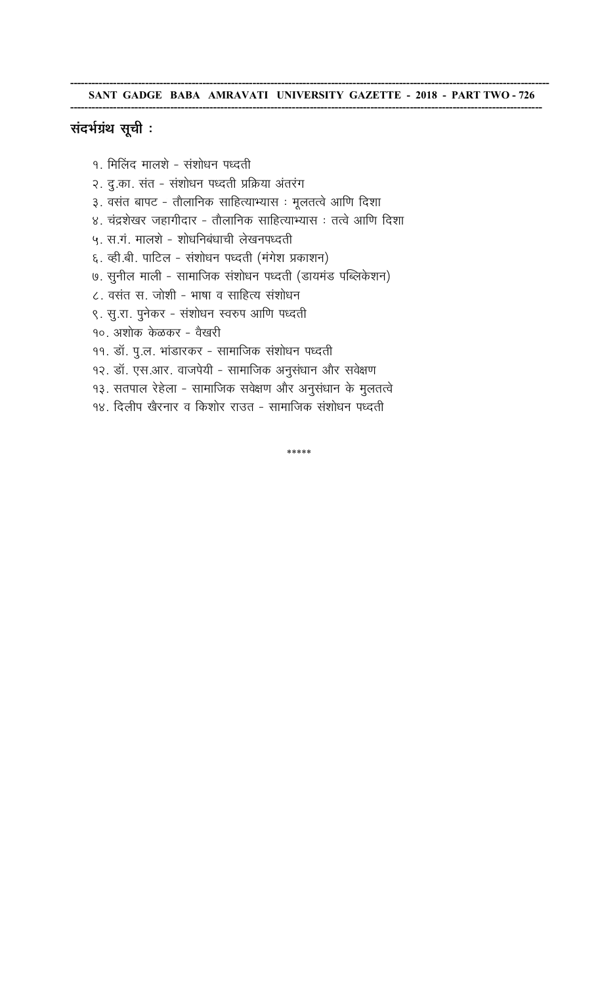# संदर्भग्रंथ सूची :

- १. मिलिंद मालशे संशोधन पध्दती
- २. दु.का. संत संशोधन पध्दती प्रक्रिया अंतरंग
- ३. वसंत बापट तौलानिक साहित्याभ्यास : मूलतत्वे आणि दिशा
- ४. चंद्रशेखर जहागीदार तौलानिक साहित्याभ्यास : तत्वे आणि दिशा
- ५. स.गं. मालशे शोधनिबंधाची लेखनपध्दती
- ६. व्ही.बी. पाटिल संशोधन पध्दती (मंगेश प्रकाशन)
- ७. सुनील माली सामाजिक संशोधन पध्दती (डायमंड पब्लिकेशन)
- ८. वसंत स. जोशी भाषा व साहित्य संशोधन
- ९. सू.रा. पुनेकर संशोधन स्वरुप आणि पध्दती
- १०. अशोक केळकर वैखरी
- ११. डॉ. पु.ल. भांडारकर सामाजिक संशोधन पध्दती
- १२. डॉ. एस.आर. वाजपेयी सामाजिक अनुसंधान और सवेक्षण
- १३. सतपाल रेहेला सामाजिक सवेक्षण और अनुसंधान के मुलतत्वे
- १४. दिलीप खैरनार व किशोर राउत सामाजिक संशोधन पध्दती

\*\*\*\*\*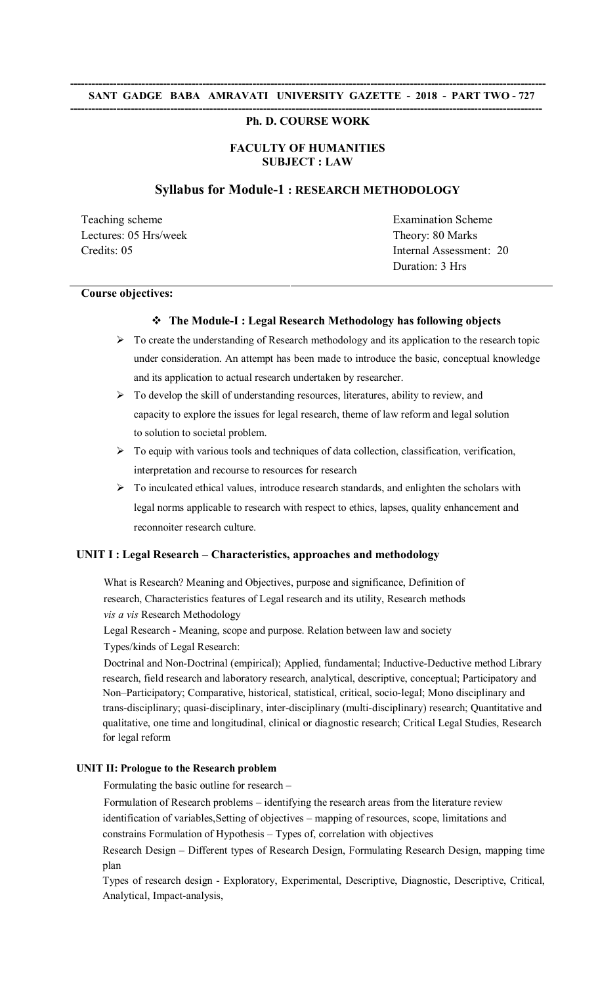### **------------------------------------------------------------------------------------------------------------------------------------ Ph. D. COURSE WORK**

# **FACULTY OF HUMANITIES SUBJECT : LAW**

### **Syllabus for Module-1 : RESEARCH METHODOLOGY**

Teaching scheme **Examination** Scheme **Examination** Scheme Lectures: 05 Hrs/week Theory: 80 Marks

Credits: 05 Internal Assessment: 20 Duration: 3 Hrs

### **Course objectives:**

### **The Module-I : Legal Research Methodology has following objects**

- $\triangleright$  To create the understanding of Research methodology and its application to the research topic under consideration. An attempt has been made to introduce the basic, conceptual knowledge and its application to actual research undertaken by researcher.
- $\triangleright$  To develop the skill of understanding resources, literatures, ability to review, and capacity to explore the issues for legal research, theme of law reform and legal solution to solution to societal problem.
- $\triangleright$  To equip with various tools and techniques of data collection, classification, verification, interpretation and recourse to resources for research
- $\triangleright$  To inculcated ethical values, introduce research standards, and enlighten the scholars with legal norms applicable to research with respect to ethics, lapses, quality enhancement and reconnoiter research culture.

### **UNIT I : Legal Research – Characteristics, approaches and methodology**

What is Research? Meaning and Objectives, purpose and significance, Definition of research, Characteristics features of Legal research and its utility, Research methods *vis a vis* Research Methodology

Legal Research - Meaning, scope and purpose. Relation between law and society

Types/kinds of Legal Research:

Doctrinal and Non-Doctrinal (empirical); Applied, fundamental; Inductive-Deductive method Library research, field research and laboratory research, analytical, descriptive, conceptual; Participatory and Non–Participatory; Comparative, historical, statistical, critical, socio-legal; Mono disciplinary and trans-disciplinary; quasi-disciplinary, inter-disciplinary (multi-disciplinary) research; Quantitative and qualitative, one time and longitudinal, clinical or diagnostic research; Critical Legal Studies, Research for legal reform

## **UNIT II: Prologue to the Research problem**

Formulating the basic outline for research –

Formulation of Research problems – identifying the research areas from the literature review identification of variables,Setting of objectives – mapping of resources, scope, limitations and constrains Formulation of Hypothesis – Types of, correlation with objectives

Research Design – Different types of Research Design, Formulating Research Design, mapping time plan

Types of research design - Exploratory, Experimental, Descriptive, Diagnostic, Descriptive, Critical, Analytical, Impact-analysis,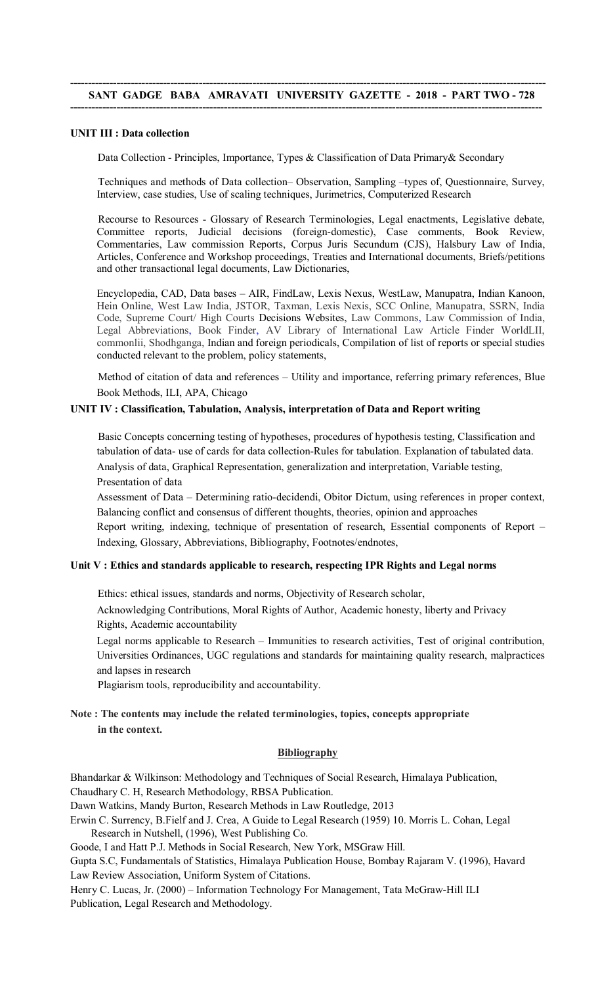### **UNIT III : Data collection**

Data Collection - Principles, Importance, Types & Classification of Data Primary& Secondary

Techniques and methods of Data collection– Observation, Sampling –types of, Questionnaire, Survey, Interview, case studies, Use of scaling techniques, Jurimetrics, Computerized Research

Recourse to Resources - Glossary of Research Terminologies, Legal enactments, Legislative debate, Committee reports, Judicial decisions (foreign-domestic), Case comments, Book Review, Commentaries, Law commission Reports, Corpus Juris Secundum (CJS), Halsbury Law of India, Articles, Conference and Workshop proceedings, Treaties and International documents, Briefs/petitions and other transactional legal documents, Law Dictionaries,

Encyclopedia, CAD, Data bases – AIR, FindLaw, Lexis Nexus, WestLaw, Manupatra, Indian Kanoon, Hein Online, West Law India, JSTOR, Taxman, Lexis Nexis, SCC Online, Manupatra, SSRN, India Code, Supreme Court/ High Courts Decisions Websites, Law Commons, Law Commission of India, Legal Abbreviations, Book Finder, AV Library of International Law Article Finder WorldLII, commonlii, Shodhganga, Indian and foreign periodicals, Compilation of list of reports or special studies conducted relevant to the problem, policy statements,

Method of citation of data and references – Utility and importance, referring primary references, Blue Book Methods, ILI, APA, Chicago

### **UNIT IV : Classification, Tabulation, Analysis, interpretation of Data and Report writing**

Basic Concepts concerning testing of hypotheses, procedures of hypothesis testing, Classification and tabulation of data- use of cards for data collection-Rules for tabulation. Explanation of tabulated data. Analysis of data, Graphical Representation, generalization and interpretation, Variable testing, Presentation of data

Assessment of Data – Determining ratio-decidendi, Obitor Dictum, using references in proper context, Balancing conflict and consensus of different thoughts, theories, opinion and approaches

Report writing, indexing, technique of presentation of research, Essential components of Report – Indexing, Glossary, Abbreviations, Bibliography, Footnotes/endnotes,

### **Unit V : Ethics and standards applicable to research, respecting IPR Rights and Legal norms**

Ethics: ethical issues, standards and norms, Objectivity of Research scholar,

Acknowledging Contributions, Moral Rights of Author, Academic honesty, liberty and Privacy Rights, Academic accountability

Legal norms applicable to Research – Immunities to research activities, Test of original contribution, Universities Ordinances, UGC regulations and standards for maintaining quality research, malpractices and lapses in research

Plagiarism tools, reproducibility and accountability.

### **Note : The contents may include the related terminologies, topics, concepts appropriate in the context.**

### **Bibliography**

Bhandarkar & Wilkinson: Methodology and Techniques of Social Research, Himalaya Publication, Chaudhary C. H, Research Methodology, RBSA Publication.

Dawn Watkins, Mandy Burton, Research Methods in Law Routledge, 2013

Erwin C. Surrency, B.Fielf and J. Crea, A Guide to Legal Research (1959) 10. Morris L. Cohan, Legal Research in Nutshell, (1996), West Publishing Co.

Goode, I and Hatt P.J. Methods in Social Research, New York, MSGraw Hill.

Gupta S.C, Fundamentals of Statistics, Himalaya Publication House, Bombay Rajaram V. (1996), Havard Law Review Association, Uniform System of Citations.

Henry C. Lucas, Jr. (2000) – Information Technology For Management, Tata McGraw-Hill ILI Publication, Legal Research and Methodology.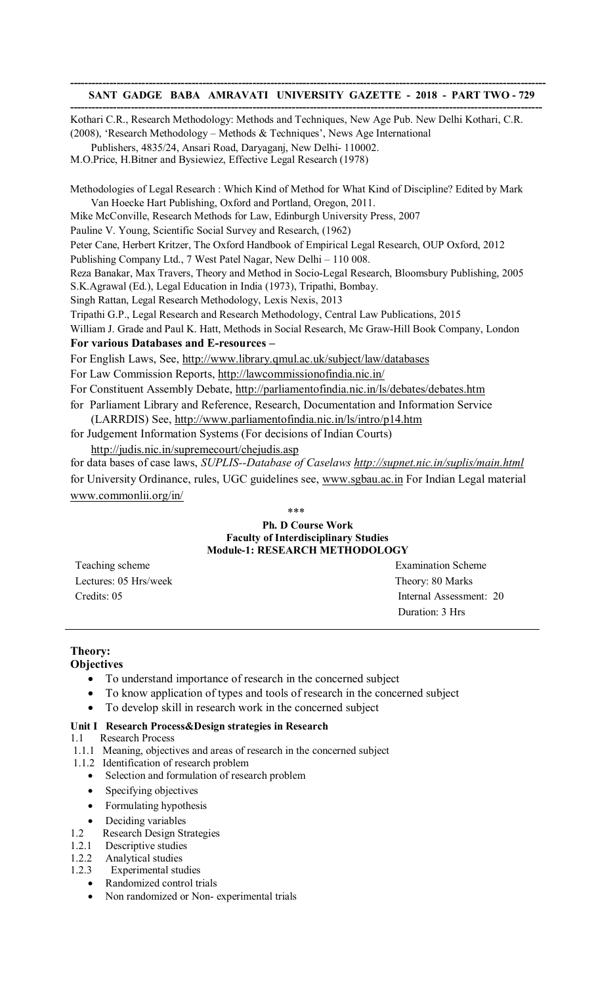**------------------------------------------------------------------------------------------------------------------------------------** Kothari C.R., Research Methodology: Methods and Techniques, New Age Pub. New Delhi Kothari, C.R. (2008), 'Research Methodology – Methods & Techniques', News Age International

Publishers, 4835/24, Ansari Road, Daryaganj, New Delhi- 110002.

M.O.Price, H.Bitner and Bysiewiez, Effective Legal Research (1978)

Methodologies of Legal Research : Which Kind of Method for What Kind of Discipline? Edited by Mark Van Hoecke Hart Publishing, Oxford and Portland, Oregon, 2011.

Mike McConville, Research Methods for Law, Edinburgh University Press, 2007

Pauline V. Young, Scientific Social Survey and Research, (1962)

Peter Cane, Herbert Kritzer, The Oxford Handbook of Empirical Legal Research, OUP Oxford, 2012

Publishing Company Ltd., 7 West Patel Nagar, New Delhi – 110 008.

Reza Banakar, Max Travers, Theory and Method in Socio-Legal Research, Bloomsbury Publishing, 2005 S.K.Agrawal (Ed.), Legal Education in India (1973), Tripathi, Bombay.

Singh Rattan, Legal Research Methodology, Lexis Nexis, 2013

Tripathi G.P., Legal Research and Research Methodology, Central Law Publications, 2015

William J. Grade and Paul K. Hatt, Methods in Social Research, Mc Graw-Hill Book Company, London

## **For various Databases and E-resources –**

For English Laws, See,<http://www.library.qmul.ac.uk/subject/law/databases>

For Law Commission Reports,<http://lawcommissionofindia.nic.in/>

For Constituent Assembly Debate,<http://parliamentofindia.nic.in/ls/debates/debates.htm>

for Parliament Library and Reference, Research, Documentation and Information Service

(LARRDIS) See,<http://www.parliamentofindia.nic.in/ls/intro/p14.htm>

for Judgement Information Systems (For decisions of Indian Courts)

# <http://judis.nic.in/supremecourt/chejudis.asp>

for data bases of case laws, *SUPLIS--Database of Caselaws [http://supnet.nic.in/suplis/main.htm](http://supnet.nic.in/suplis/main.html)l* for University Ordinance, rules, UGC guidelines see, [www.sgbau.ac.in](http://www.sgbau.ac.in/) For Indian Legal material [www.commonlii.org/in/](http://www.commonlii.org/in/)

### \*\*\*

# **Ph. D Course Work Faculty of Interdisciplinary Studies**

| <b>Module-1: RESEARCH METHODOLOGY</b> |                           |
|---------------------------------------|---------------------------|
| Teaching scheme                       | <b>Examination Scheme</b> |
| Lectures: 05 Hrs/week                 | Theory: 80 Marks          |
| Credits: 05                           | Internal Assessment: 20   |
|                                       | Duration: 3 Hrs           |

### **Theory:**

### **Objectives**

- To understand importance of research in the concerned subject
- To know application of types and tools of research in the concerned subject
- To develop skill in research work in the concerned subject

### **Unit I Research Process&Design strategies in Research**

- 1.1 Research Process
- 1.1.1 Meaning, objectives and areas of research in the concerned subject
- 1.1.2 Identification of research problem
	- Selection and formulation of research problem
		- Specifying objectives
		- Formulating hypothesis
	-
- Deciding variables<br>1.2 Research Design St Research Design Strategies
- 1.2.1 Descriptive studies<br>1.2.2 Analytical studies
- 1.2.2 Analytical studies<br>1.2.3 Experimental studies
	- Experimental studies
		- Randomized control trials
		- Non randomized or Non-experimental trials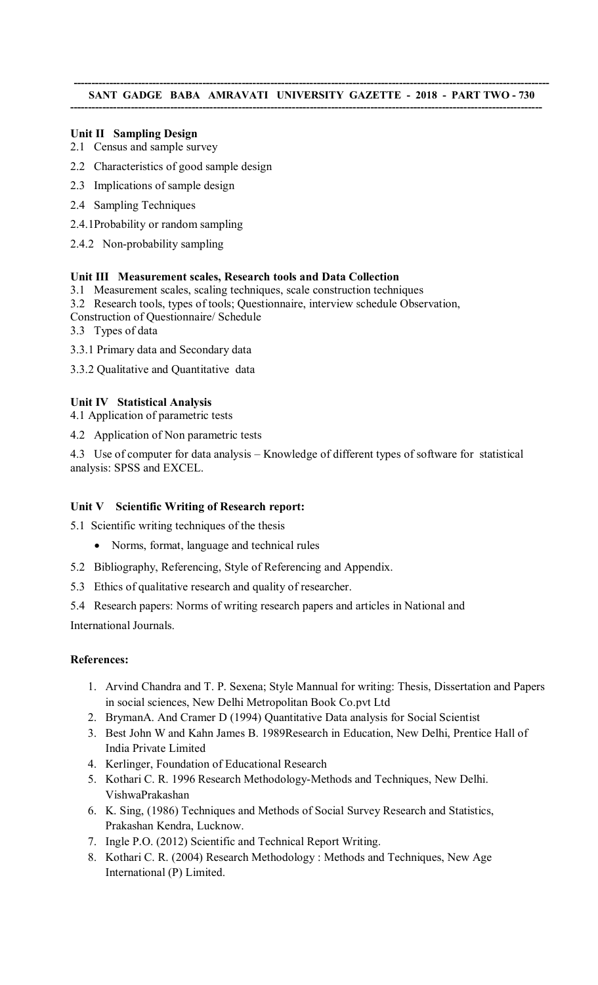### **------------------------------------------------------------------------------------------------------------------------------------- SANT GADGE BABA AMRAVATI UNIVERSITY GAZETTE - 2018 - PART TWO - 730 ------------------------------------------------------------------------------------------------------------------------------------**

# **Unit II Sampling Design**

- 2.1 Census and sample survey
- 2.2 Characteristics of good sample design
- 2.3 Implications of sample design
- 2.4 Sampling Techniques
- 2.4.1Probability or random sampling
- 2.4.2 Non-probability sampling

## **Unit III Measurement scales, Research tools and Data Collection**

- 3.1 Measurement scales, scaling techniques, scale construction techniques
- 3.2 Research tools, types of tools; Questionnaire, interview schedule Observation,
- Construction of Questionnaire/ Schedule

3.3 Types of data

- 3.3.1 Primary data and Secondary data
- 3.3.2 Qualitative and Quantitative data

# **Unit IV Statistical Analysis**

4.1 Application of parametric tests

4.2 Application of Non parametric tests

4.3 Use of computer for data analysis – Knowledge of different types of software for statistical analysis: SPSS and EXCEL.

# **Unit V Scientific Writing of Research report:**

5.1 Scientific writing techniques of the thesis

- Norms, format, language and technical rules
- 5.2 Bibliography, Referencing, Style of Referencing and Appendix.
- 5.3 Ethics of qualitative research and quality of researcher.
- 5.4 Research papers: Norms of writing research papers and articles in National and

International Journals.

# **References:**

- 1. Arvind Chandra and T. P. Sexena; Style Mannual for writing: Thesis, Dissertation and Papers in social sciences, New Delhi Metropolitan Book Co.pvt Ltd
- 2. BrymanA. And Cramer D (1994) Quantitative Data analysis for Social Scientist
- 3. Best John W and Kahn James B. 1989Research in Education, New Delhi, Prentice Hall of India Private Limited
- 4. Kerlinger, Foundation of Educational Research
- 5. Kothari C. R. 1996 Research Methodology-Methods and Techniques, New Delhi. VishwaPrakashan
- 6. K. Sing, (1986) Techniques and Methods of Social Survey Research and Statistics, Prakashan Kendra, Lucknow.
- 7. Ingle P.O. (2012) Scientific and Technical Report Writing.
- 8. Kothari C. R. (2004) Research Methodology : Methods and Techniques, New Age International (P) Limited.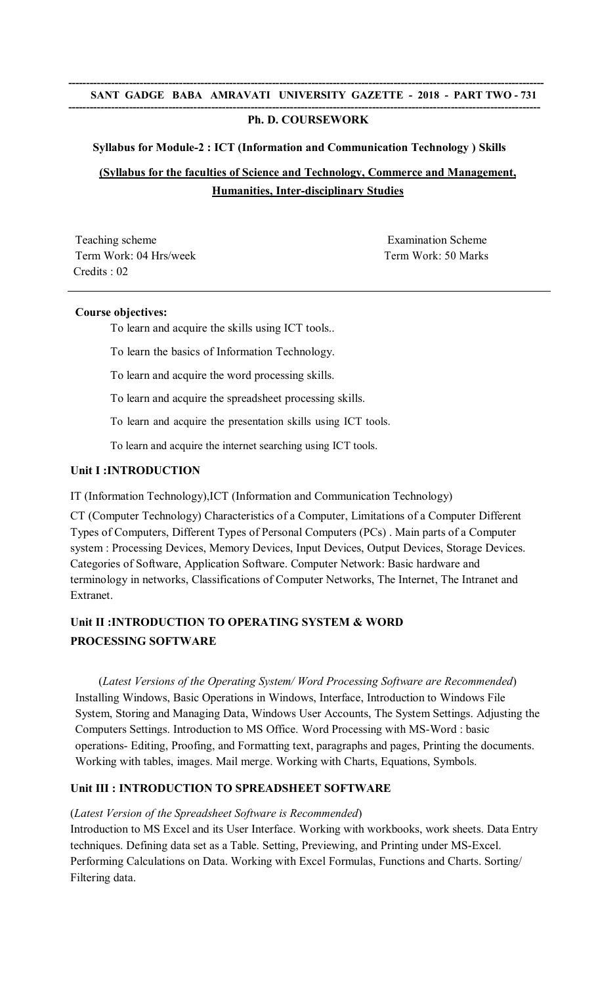### **------------------------------------------------------------------------------------------------------------------------------------ Ph. D. COURSEWORK**

# **Syllabus for Module-2 : ICT (Information and Communication Technology ) Skills**

# **(Syllabus for the faculties of Science and Technology, Commerce and Management, Humanities, Inter-disciplinary Studies**

Teaching scheme Examination Scheme Term Work: 04 Hrs/week Term Work: 50 Marks Credits : 02

## **Course objectives:**

To learn and acquire the skills using ICT tools..

To learn the basics of Information Technology.

To learn and acquire the word processing skills.

To learn and acquire the spreadsheet processing skills.

To learn and acquire the presentation skills using ICT tools.

To learn and acquire the internet searching using ICT tools.

# **Unit I :INTRODUCTION**

IT (Information Technology),ICT (Information and Communication Technology)

CT (Computer Technology) Characteristics of a Computer, Limitations of a Computer Different Types of Computers, Different Types of Personal Computers (PCs) . Main parts of a Computer system : Processing Devices, Memory Devices, Input Devices, Output Devices, Storage Devices. Categories of Software, Application Software. Computer Network: Basic hardware and terminology in networks, Classifications of Computer Networks, The Internet, The Intranet and Extranet.

# **Unit II :INTRODUCTION TO OPERATING SYSTEM & WORD PROCESSING SOFTWARE**

(*Latest Versions of the Operating System/ Word Processing Software are Recommended*) Installing Windows, Basic Operations in Windows, Interface, Introduction to Windows File System, Storing and Managing Data, Windows User Accounts, The System Settings. Adjusting the Computers Settings. Introduction to MS Office. Word Processing with MS-Word : basic operations- Editing, Proofing, and Formatting text, paragraphs and pages, Printing the documents. Working with tables, images. Mail merge. Working with Charts, Equations, Symbols.

# **Unit III : INTRODUCTION TO SPREADSHEET SOFTWARE**

# (*Latest Version of the Spreadsheet Software is Recommended*)

Introduction to MS Excel and its User Interface. Working with workbooks, work sheets. Data Entry techniques. Defining data set as a Table. Setting, Previewing, and Printing under MS-Excel. Performing Calculations on Data. Working with Excel Formulas, Functions and Charts. Sorting/ Filtering data.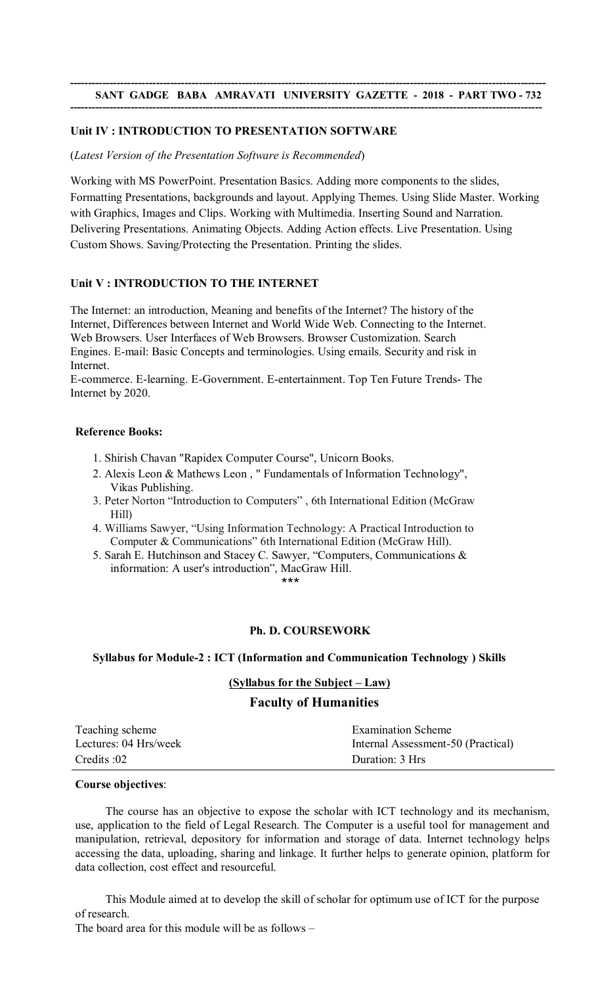**------------------------------------------------------------------------------------------------------------------------------------**

### **Unit IV : INTRODUCTION TO PRESENTATION SOFTWARE**

(*Latest Version of the Presentation Software is Recommended*)

Working with MS PowerPoint. Presentation Basics. Adding more components to the slides, Formatting Presentations, backgrounds and layout. Applying Themes. Using Slide Master. Working with Graphics, Images and Clips. Working with Multimedia. Inserting Sound and Narration. Delivering Presentations. Animating Objects. Adding Action effects. Live Presentation. Using Custom Shows. Saving/Protecting the Presentation. Printing the slides.

## **Unit V : INTRODUCTION TO THE INTERNET**

The Internet: an introduction, Meaning and benefits of the Internet? The history of the Internet, Differences between Internet and World Wide Web. Connecting to the Internet. Web Browsers. User Interfaces of Web Browsers. Browser Customization. Search Engines. E-mail: Basic Concepts and terminologies. Using emails. Security and risk in Internet.

E-commerce. E-learning. E-Government. E-entertainment. Top Ten Future Trends- The Internet by 2020.

### **Reference Books:**

- 1. Shirish Chavan "Rapidex Computer Course", Unicorn Books.
- 2. Alexis Leon & Mathews Leon , " Fundamentals of Information Technology", Vikas Publishing.
- 3. Peter Norton "Introduction to Computers" , 6th International Edition (McGraw Hill)
- 4. Williams Sawyer, "Using Information Technology: A Practical Introduction to Computer & Communications" 6th International Edition (McGraw Hill).
- 5. Sarah E. Hutchinson and Stacey C. Sawyer, "Computers, Communications & information: A user's introduction", MacGraw Hill.

### \*\*\*

### **Ph. D. COURSEWORK**

### **Syllabus for Module-2 : ICT (Information and Communication Technology ) Skills**

# **(Syllabus for the Subject – Law) Faculty of Humanities**

| Teaching scheme       | <b>Examination Scheme</b>          |
|-----------------------|------------------------------------|
| Lectures: 04 Hrs/week | Internal Assessment-50 (Practical) |
| Credits:02            | Duration: 3 Hrs                    |

### **Course objectives**:

The course has an objective to expose the scholar with ICT technology and its mechanism, use, application to the field of Legal Research. The Computer is a useful tool for management and manipulation, retrieval, depository for information and storage of data. Internet technology helps accessing the data, uploading, sharing and linkage. It further helps to generate opinion, platform for data collection, cost effect and resourceful.

This Module aimed at to develop the skill of scholar for optimum use of ICT for the purpose of research.

The board area for this module will be as follows –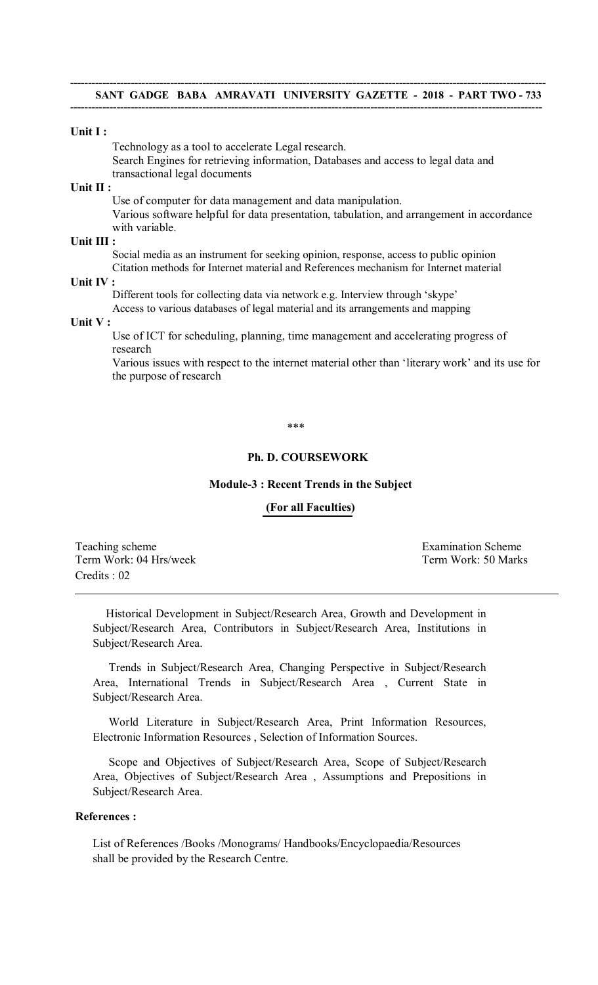**------------------------------------------------------------------------------------------------------------------------------------**

### **Unit I :**

Technology as a tool to accelerate Legal research. Search Engines for retrieving information, Databases and access to legal data and transactional legal documents

### **Unit II :**

Use of computer for data management and data manipulation. Various software helpful for data presentation, tabulation, and arrangement in accordance with variable.

### **Unit III :**

Social media as an instrument for seeking opinion, response, access to public opinion

Citation methods for Internet material and References mechanism for Internet material **Unit IV :**

Different tools for collecting data via network e.g. Interview through 'skype'

Access to various databases of legal material and its arrangements and mapping

### **Unit V :**

Use of ICT for scheduling, planning, time management and accelerating progress of research

Various issues with respect to the internet material other than 'literary work' and its use for the purpose of research

### \*\*\*

### **Ph. D. COURSEWORK**

### **Module-3 : Recent Trends in the Subject**

### **(For all Faculties)**

Teaching scheme Examination Scheme Examination Scheme Term Work: 04 Hrs/week Term Work: 50 Marks Credits : 02

Historical Development in Subject/Research Area, Growth and Development in Subject/Research Area, Contributors in Subject/Research Area, Institutions in Subject/Research Area.

Trends in Subject/Research Area, Changing Perspective in Subject/Research Area, International Trends in Subject/Research Area , Current State in Subject/Research Area.

World Literature in Subject/Research Area, Print Information Resources, Electronic Information Resources , Selection of Information Sources.

Scope and Objectives of Subject/Research Area, Scope of Subject/Research Area, Objectives of Subject/Research Area , Assumptions and Prepositions in Subject/Research Area.

## **References :**

List of References /Books /Monograms/ Handbooks/Encyclopaedia/Resources shall be provided by the Research Centre.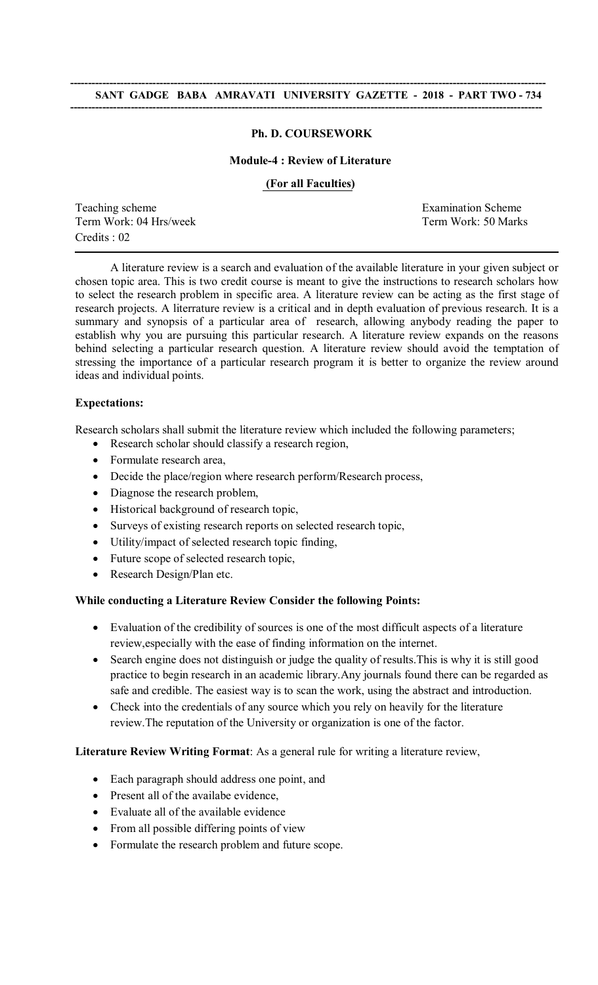### **Ph. D. COURSEWORK**

**------------------------------------------------------------------------------------------------------------------------------------**

### **Module-4 : Review of Literature**

### **(For all Faculties)**

Teaching scheme<br>
Term Work: 04 Hrs/week<br>
Term Work: 50 Marks Term Work: 04 Hrs/week Credits : 02

A literature review is a search and evaluation of the available literature in your given subject or chosen topic area. This is two credit course is meant to give the instructions to research scholars how to select the research problem in specific area. A literature review can be acting as the first stage of research projects. A literrature review is a critical and in depth evaluation of previous research. It is a summary and synopsis of a particular area of research, allowing anybody reading the paper to establish why you are pursuing this particular research. A literature review expands on the reasons behind selecting a particular research question. A literature review should avoid the temptation of stressing the importance of a particular research program it is better to organize the review around ideas and individual points.

## **Expectations:**

Research scholars shall submit the literature review which included the following parameters;

- Research scholar should classify a research region,
- Formulate research area,
- Decide the place/region where research perform/Research process,
- Diagnose the research problem,
- Historical background of research topic,
- Surveys of existing research reports on selected research topic,
- Utility/impact of selected research topic finding,
- Future scope of selected research topic,
- Research Design/Plan etc.

# **While conducting a Literature Review Consider the following Points:**

- Evaluation of the credibility of sources is one of the most difficult aspects of a literature review,especially with the ease of finding information on the internet.
- Search engine does not distinguish or judge the quality of results.This is why it is still good practice to begin research in an academic library.Any journals found there can be regarded as safe and credible. The easiest way is to scan the work, using the abstract and introduction.
- Check into the credentials of any source which you rely on heavily for the literature review.The reputation of the University or organization is one of the factor.

# **Literature Review Writing Format**: As a general rule for writing a literature review,

- Each paragraph should address one point, and
- Present all of the availabe evidence,
- Evaluate all of the available evidence
- From all possible differing points of view
- Formulate the research problem and future scope.